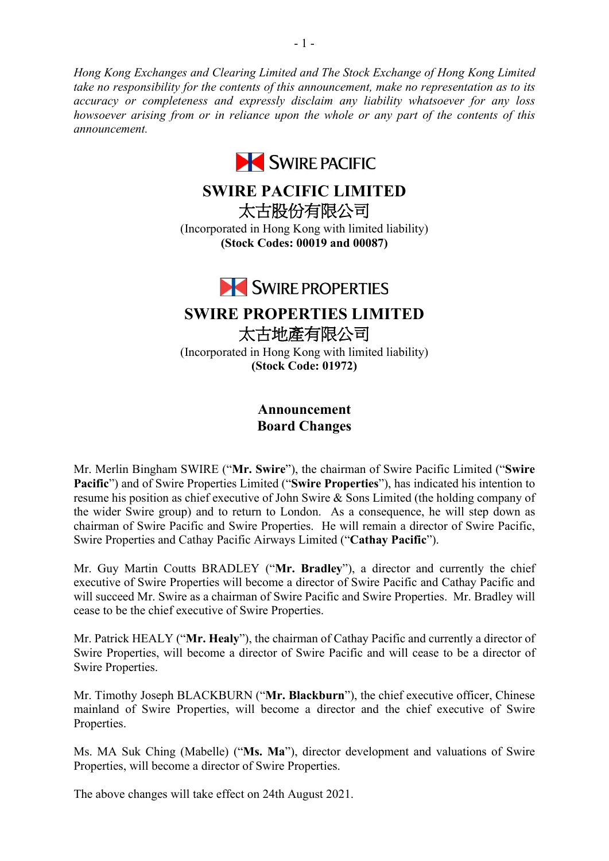*Hong Kong Exchanges and Clearing Limited and The Stock Exchange of Hong Kong Limited take no responsibility for the contents of this announcement, make no representation as to its accuracy or completeness and expressly disclaim any liability whatsoever for any loss howsoever arising from or in reliance upon the whole or any part of the contents of this announcement.*



## **SWIRE PACIFIC LIMITED**

太古股份有限公司

(Incorporated in Hong Kong with limited liability) **(Stock Codes: 00019 and 00087)**



# **SWIRE PROPERTIES LIMITED**

太古地產有限公司 (Incorporated in Hong Kong with limited liability) **(Stock Code: 01972)**

## **Announcement Board Changes**

Mr. Merlin Bingham SWIRE ("**Mr. Swire**"), the chairman of Swire Pacific Limited ("**Swire Pacific**") and of Swire Properties Limited ("**Swire Properties**"), has indicated his intention to resume his position as chief executive of John Swire & Sons Limited (the holding company of the wider Swire group) and to return to London. As a consequence, he will step down as chairman of Swire Pacific and Swire Properties. He will remain a director of Swire Pacific, Swire Properties and Cathay Pacific Airways Limited ("**Cathay Pacific**").

Mr. Guy Martin Coutts BRADLEY ("**Mr. Bradley**"), a director and currently the chief executive of Swire Properties will become a director of Swire Pacific and Cathay Pacific and will succeed Mr. Swire as a chairman of Swire Pacific and Swire Properties. Mr. Bradley will cease to be the chief executive of Swire Properties.

Mr. Patrick HEALY ("**Mr. Healy**"), the chairman of Cathay Pacific and currently a director of Swire Properties, will become a director of Swire Pacific and will cease to be a director of Swire Properties.

Mr. Timothy Joseph BLACKBURN ("**Mr. Blackburn**"), the chief executive officer, Chinese mainland of Swire Properties, will become a director and the chief executive of Swire Properties.

Ms. MA Suk Ching (Mabelle) ("**Ms. Ma**"), director development and valuations of Swire Properties, will become a director of Swire Properties.

The above changes will take effect on 24th August 2021.